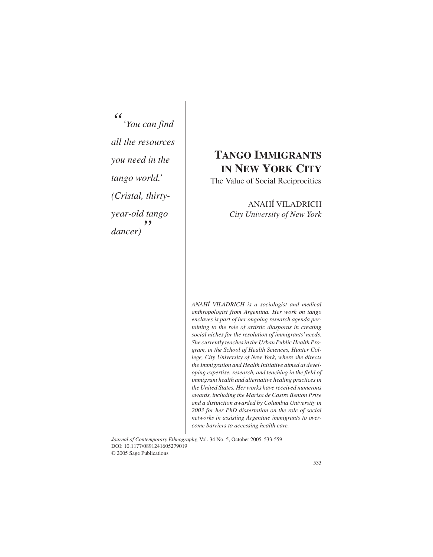$\mathcal{C}$ S | *" 'You can find all the resources you need in the tango world.' (Cristal, thirtyyear-old tango dancer) "*

# **TANGO IMMIGRANTS IN NEW YORK CITY**

The Value of Social Reciprocities

## ANAHÍ VILADRICH *City University of New York*

*ANAHÍ VILADRICH is a sociologist and medical anthropologist from Argentina. Her work on tango enclaves is part of her ongoing research agenda pertaining to the role of artistic diasporas in creating social niches for the resolution of immigrants'needs. She currently teaches in the Urban Public Health Program, in the School of Health Sciences, Hunter College, City University of New York, where she directs the Immigration and Health Initiative aimed at developing expertise, research, and teaching in the field of immigrant health and alternative healing practices in the United States. Her works have received numerous awards, including the Marisa de Castro Benton Prize and a distinction awarded by Columbia University in 2003 for her PhD dissertation on the role of social networks in assisting Argentine immigrants to overcome barriers to accessing health care.*

*Journal of Contemporary Ethnography,* Vol. 34 No. 5, October 2005 533-559 DOI: 10.1177/0891241605279019 © 2005 Sage Publications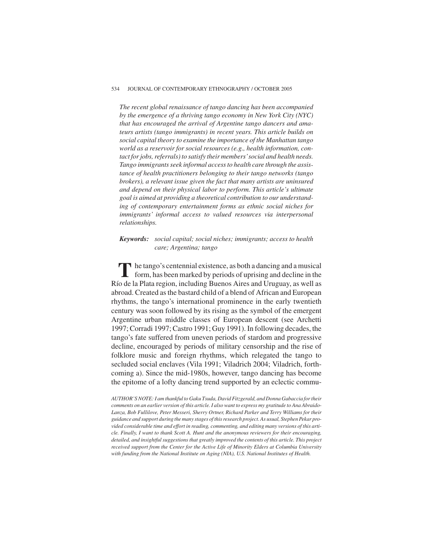#### 534 JOURNAL OF CONTEMPORARY ETHNOGRAPHY / OCTOBER 2005

*The recent global renaissance of tango dancing has been accompanied by the emergence of a thriving tango economy in New York City (NYC) that has encouraged the arrival of Argentine tango dancers and amateurs artists (tango immigrants) in recent years. This article builds on social capital theory to examine the importance of the Manhattan tango world as a reservoir for social resources (e.g., health information, contact for jobs, referrals) to satisfy their members'social and health needs. Tango immigrants seek informal access to health care through the assistance of health practitioners belonging to their tango networks (tango brokers), a relevant issue given the fact that many artists are uninsured and depend on their physical labor to perform. This article's ultimate goal is aimed at providing a theoretical contribution to our understanding of contemporary entertainment forms as ethnic social niches for immigrants' informal access to valued resources via interpersonal relationships.*

## *Keywords: social capital; social niches; immigrants; access to health care; Argentina; tango*

The tango's centennial existence, as both a dancing and a musical form, has been marked by periods of uprising and decline in the Río de la Plata region, including Buenos Aires and Uruguay, as well as abroad. Created as the bastard child of a blend of African and European rhythms, the tango's international prominence in the early twentieth century was soon followed by its rising as the symbol of the emergent Argentine urban middle classes of European descent (see Archetti 1997; Corradi 1997; Castro 1991; Guy 1991). In following decades, the tango's fate suffered from uneven periods of stardom and progressive decline, encouraged by periods of military censorship and the rise of folklore music and foreign rhythms, which relegated the tango to secluded social enclaves (Vila 1991; Viladrich 2004; Viladrich, forthcoming a). Since the mid-1980s, however, tango dancing has become the epitome of a lofty dancing trend supported by an eclectic commu-

*AUTHOR'S NOTE: I am thankful to Gaku Tsuda, David Fitzgerald, and Donna Gabaccia for their comments on an earlier version of this article. I also want to express my gratitude to Ana Abraido-Lanza, Bob Fullilove, Peter Messeri, Sherry Ortner, Richard Parker and Terry Williams for their guidance and support during the many stages of this research project. As usual, Stephen Pekar provided considerable time and effort in reading, commenting, and editing many versions of this article. Finally, I want to thank Scott A. Hunt and the anonymous reviewers for their encouraging, detailed, and insightful suggestions that greatly improved the contents of this article. This project received support from the Center for the Active Life of Minority Elders at Columbia University with funding from the National Institute on Aging (NIA), U.S. National Institutes of Health.*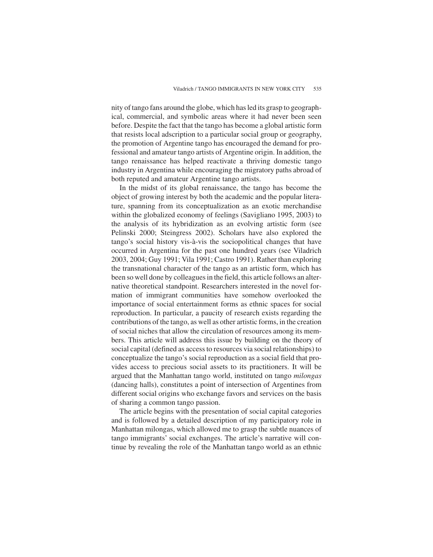nity of tango fans around the globe, which has led its grasp to geographical, commercial, and symbolic areas where it had never been seen before. Despite the fact that the tango has become a global artistic form that resists local adscription to a particular social group or geography, the promotion of Argentine tango has encouraged the demand for professional and amateur tango artists of Argentine origin. In addition, the tango renaissance has helped reactivate a thriving domestic tango industry in Argentina while encouraging the migratory paths abroad of both reputed and amateur Argentine tango artists.

In the midst of its global renaissance, the tango has become the object of growing interest by both the academic and the popular literature, spanning from its conceptualization as an exotic merchandise within the globalized economy of feelings (Savigliano 1995, 2003) to the analysis of its hybridization as an evolving artistic form (see Pelinski 2000; Steingress 2002). Scholars have also explored the tango's social history vis-à-vis the sociopolitical changes that have occurred in Argentina for the past one hundred years (see Viladrich 2003, 2004; Guy 1991; Vila 1991; Castro 1991). Rather than exploring the transnational character of the tango as an artistic form, which has been so well done by colleagues in the field, this article follows an alternative theoretical standpoint. Researchers interested in the novel formation of immigrant communities have somehow overlooked the importance of social entertainment forms as ethnic spaces for social reproduction. In particular, a paucity of research exists regarding the contributions of the tango, as well as other artistic forms, in the creation of social niches that allow the circulation of resources among its members. This article will address this issue by building on the theory of social capital (defined as access to resources via social relationships) to conceptualize the tango's social reproduction as a social field that provides access to precious social assets to its practitioners. It will be argued that the Manhattan tango world, instituted on tango *milongas* (dancing halls), constitutes a point of intersection of Argentines from different social origins who exchange favors and services on the basis of sharing a common tango passion.

The article begins with the presentation of social capital categories and is followed by a detailed description of my participatory role in Manhattan milongas, which allowed me to grasp the subtle nuances of tango immigrants' social exchanges. The article's narrative will continue by revealing the role of the Manhattan tango world as an ethnic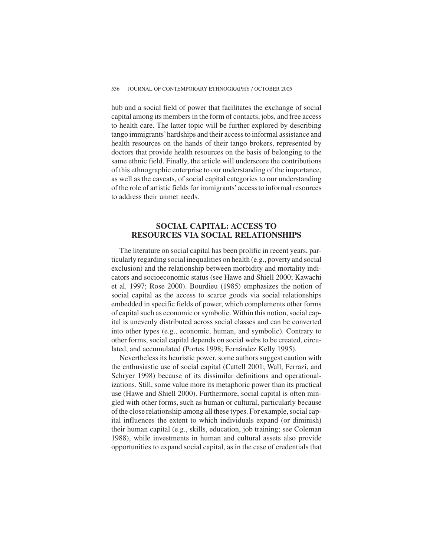hub and a social field of power that facilitates the exchange of social capital among its members in the form of contacts, jobs, and free access to health care. The latter topic will be further explored by describing tango immigrants'hardships and their access to informal assistance and health resources on the hands of their tango brokers, represented by doctors that provide health resources on the basis of belonging to the same ethnic field. Finally, the article will underscore the contributions of this ethnographic enterprise to our understanding of the importance, as well as the caveats, of social capital categories to our understanding of the role of artistic fields for immigrants'access to informal resources to address their unmet needs.

## **SOCIAL CAPITAL: ACCESS TO RESOURCES VIA SOCIAL RELATIONSHIPS**

The literature on social capital has been prolific in recent years, particularly regarding social inequalities on health (e.g., poverty and social exclusion) and the relationship between morbidity and mortality indicators and socioeconomic status (see Hawe and Shiell 2000; Kawachi et al. 1997; Rose 2000). Bourdieu (1985) emphasizes the notion of social capital as the access to scarce goods via social relationships embedded in specific fields of power, which complements other forms of capital such as economic or symbolic. Within this notion, social capital is unevenly distributed across social classes and can be converted into other types (e.g., economic, human, and symbolic). Contrary to other forms, social capital depends on social webs to be created, circulated, and accumulated (Portes 1998; Fernández Kelly 1995).

Nevertheless its heuristic power, some authors suggest caution with the enthusiastic use of social capital (Cattell 2001; Wall, Ferrazi, and Schryer 1998) because of its dissimilar definitions and operationalizations. Still, some value more its metaphoric power than its practical use (Hawe and Shiell 2000). Furthermore, social capital is often mingled with other forms, such as human or cultural, particularly because of the close relationship among all these types. For example, social capital influences the extent to which individuals expand (or diminish) their human capital (e.g., skills, education, job training; see Coleman 1988), while investments in human and cultural assets also provide opportunities to expand social capital, as in the case of credentials that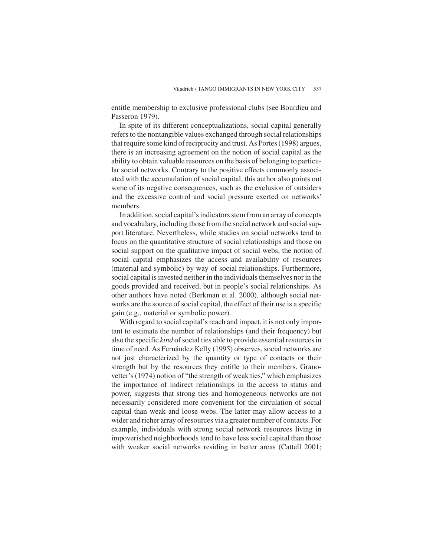entitle membership to exclusive professional clubs (see Bourdieu and Passeron 1979).

In spite of its different conceptualizations, social capital generally refers to the nontangible values exchanged through social relationships that require some kind of reciprocity and trust. As Portes (1998) argues, there is an increasing agreement on the notion of social capital as the ability to obtain valuable resources on the basis of belonging to particular social networks. Contrary to the positive effects commonly associated with the accumulation of social capital, this author also points out some of its negative consequences, such as the exclusion of outsiders and the excessive control and social pressure exerted on networks' members.

In addition, social capital's indicators stem from an array of concepts and vocabulary, including those from the social network and social support literature. Nevertheless, while studies on social networks tend to focus on the quantitative structure of social relationships and those on social support on the qualitative impact of social webs, the notion of social capital emphasizes the access and availability of resources (material and symbolic) by way of social relationships. Furthermore, social capital is invested neither in the individuals themselves nor in the goods provided and received, but in people's social relationships. As other authors have noted (Berkman et al. 2000), although social networks are the source of social capital, the effect of their use is a specific gain (e.g., material or symbolic power).

With regard to social capital's reach and impact, it is not only important to estimate the number of relationships (and their frequency) but also the specific *kind* of social ties able to provide essential resources in time of need. As Fernández Kelly (1995) observes, social networks are not just characterized by the quantity or type of contacts or their strength but by the resources they entitle to their members. Granovetter's (1974) notion of "the strength of weak ties," which emphasizes the importance of indirect relationships in the access to status and power, suggests that strong ties and homogeneous networks are not necessarily considered more convenient for the circulation of social capital than weak and loose webs. The latter may allow access to a wider and richer array of resources via a greater number of contacts. For example, individuals with strong social network resources living in impoverished neighborhoods tend to have less social capital than those with weaker social networks residing in better areas (Cattell 2001;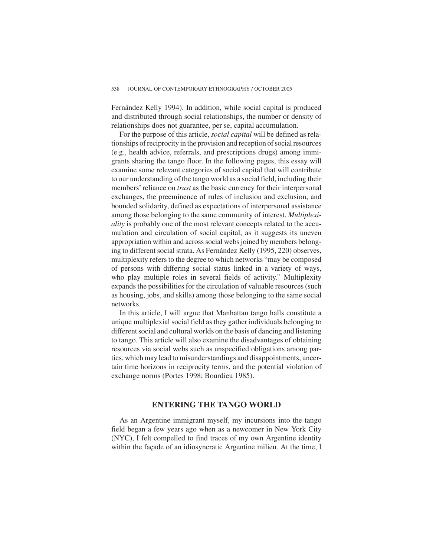Fernández Kelly 1994). In addition, while social capital is produced and distributed through social relationships, the number or density of relationships does not guarantee, per se, capital accumulation.

For the purpose of this article, *social capital* will be defined as relationships of reciprocity in the provision and reception of social resources (e.g., health advice, referrals, and prescriptions drugs) among immigrants sharing the tango floor. In the following pages, this essay will examine some relevant categories of social capital that will contribute to our understanding of the tango world as a social field, including their members' reliance on *trust* as the basic currency for their interpersonal exchanges, the preeminence of rules of inclusion and exclusion, and bounded solidarity, defined as expectations of interpersonal assistance among those belonging to the same community of interest. *Multiplexiality* is probably one of the most relevant concepts related to the accumulation and circulation of social capital, as it suggests its uneven appropriation within and across social webs joined by members belonging to different social strata. As Fernández Kelly (1995, 220) observes, multiplexity refers to the degree to which networks "may be composed of persons with differing social status linked in a variety of ways, who play multiple roles in several fields of activity." Multiplexity expands the possibilities for the circulation of valuable resources (such as housing, jobs, and skills) among those belonging to the same social networks.

In this article, I will argue that Manhattan tango halls constitute a unique multiplexial social field as they gather individuals belonging to different social and cultural worlds on the basis of dancing and listening to tango. This article will also examine the disadvantages of obtaining resources via social webs such as unspecified obligations among parties, which may lead to misunderstandings and disappointments, uncertain time horizons in reciprocity terms, and the potential violation of exchange norms (Portes 1998; Bourdieu 1985).

## **ENTERING THE TANGO WORLD**

As an Argentine immigrant myself, my incursions into the tango field began a few years ago when as a newcomer in New York City (NYC), I felt compelled to find traces of my own Argentine identity within the façade of an idiosyncratic Argentine milieu. At the time, I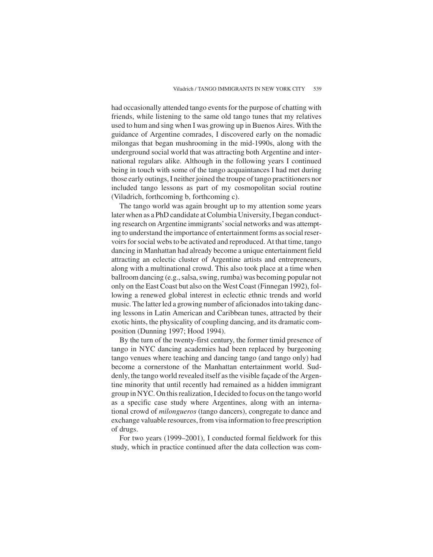had occasionally attended tango events for the purpose of chatting with friends, while listening to the same old tango tunes that my relatives used to hum and sing when I was growing up in Buenos Aires. With the guidance of Argentine comrades, I discovered early on the nomadic milongas that began mushrooming in the mid-1990s, along with the underground social world that was attracting both Argentine and international regulars alike. Although in the following years I continued being in touch with some of the tango acquaintances I had met during those early outings, I neither joined the troupe of tango practitioners nor included tango lessons as part of my cosmopolitan social routine (Viladrich, forthcoming b, forthcoming c).

The tango world was again brought up to my attention some years later when as a PhD candidate at Columbia University, I began conducting research on Argentine immigrants'social networks and was attempting to understand the importance of entertainment forms as social reservoirs for social webs to be activated and reproduced. At that time, tango dancing in Manhattan had already become a unique entertainment field attracting an eclectic cluster of Argentine artists and entrepreneurs, along with a multinational crowd. This also took place at a time when ballroom dancing (e.g., salsa, swing, rumba) was becoming popular not only on the East Coast but also on the West Coast (Finnegan 1992), following a renewed global interest in eclectic ethnic trends and world music. The latter led a growing number of aficionados into taking dancing lessons in Latin American and Caribbean tunes, attracted by their exotic hints, the physicality of coupling dancing, and its dramatic composition (Dunning 1997; Hood 1994).

By the turn of the twenty-first century, the former timid presence of tango in NYC dancing academies had been replaced by burgeoning tango venues where teaching and dancing tango (and tango only) had become a cornerstone of the Manhattan entertainment world. Suddenly, the tango world revealed itself as the visible façade of the Argentine minority that until recently had remained as a hidden immigrant group in NYC. On this realization, I decided to focus on the tango world as a specific case study where Argentines, along with an international crowd of *milongueros* (tango dancers), congregate to dance and exchange valuable resources, from visa information to free prescription of drugs.

For two years (1999–2001), I conducted formal fieldwork for this study, which in practice continued after the data collection was com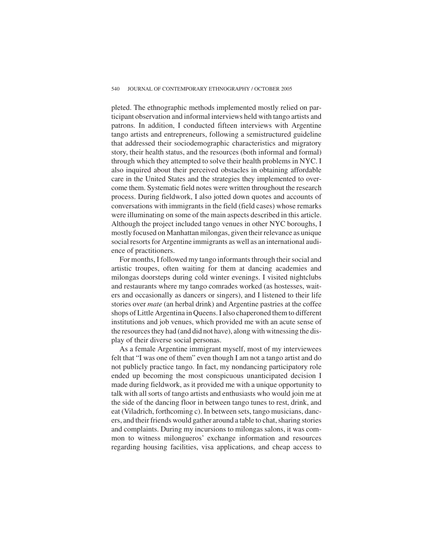pleted. The ethnographic methods implemented mostly relied on participant observation and informal interviews held with tango artists and patrons. In addition, I conducted fifteen interviews with Argentine tango artists and entrepreneurs, following a semistructured guideline that addressed their sociodemographic characteristics and migratory story, their health status, and the resources (both informal and formal) through which they attempted to solve their health problems in NYC. I also inquired about their perceived obstacles in obtaining affordable care in the United States and the strategies they implemented to overcome them. Systematic field notes were written throughout the research process. During fieldwork, I also jotted down quotes and accounts of conversations with immigrants in the field (field cases) whose remarks were illuminating on some of the main aspects described in this article. Although the project included tango venues in other NYC boroughs, I mostly focused on Manhattan milongas, given their relevance as unique social resorts for Argentine immigrants as well as an international audience of practitioners.

For months, I followed my tango informants through their social and artistic troupes, often waiting for them at dancing academies and milongas doorsteps during cold winter evenings. I visited nightclubs and restaurants where my tango comrades worked (as hostesses, waiters and occasionally as dancers or singers), and I listened to their life stories over *mate* (an herbal drink) and Argentine pastries at the coffee shops of Little Argentina in Queens. I also chaperoned them to different institutions and job venues, which provided me with an acute sense of the resources they had (and did not have), along with witnessing the display of their diverse social personas.

As a female Argentine immigrant myself, most of my interviewees felt that "I was one of them" even though I am not a tango artist and do not publicly practice tango. In fact, my nondancing participatory role ended up becoming the most conspicuous unanticipated decision I made during fieldwork, as it provided me with a unique opportunity to talk with all sorts of tango artists and enthusiasts who would join me at the side of the dancing floor in between tango tunes to rest, drink, and eat (Viladrich, forthcoming c). In between sets, tango musicians, dancers, and their friends would gather around a table to chat, sharing stories and complaints. During my incursions to milongas salons, it was common to witness milongueros' exchange information and resources regarding housing facilities, visa applications, and cheap access to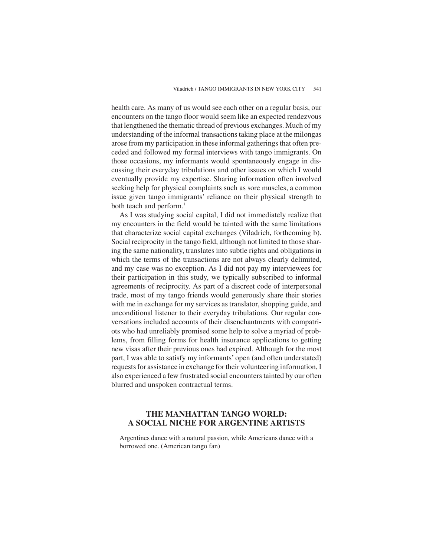health care. As many of us would see each other on a regular basis, our encounters on the tango floor would seem like an expected rendezvous that lengthened the thematic thread of previous exchanges. Much of my understanding of the informal transactions taking place at the milongas arose from my participation in these informal gatherings that often preceded and followed my formal interviews with tango immigrants. On those occasions, my informants would spontaneously engage in discussing their everyday tribulations and other issues on which I would eventually provide my expertise. Sharing information often involved seeking help for physical complaints such as sore muscles, a common issue given tango immigrants' reliance on their physical strength to both teach and perform.<sup>1</sup>

As I was studying social capital, I did not immediately realize that my encounters in the field would be tainted with the same limitations that characterize social capital exchanges (Viladrich, forthcoming b). Social reciprocity in the tango field, although not limited to those sharing the same nationality, translates into subtle rights and obligations in which the terms of the transactions are not always clearly delimited, and my case was no exception. As I did not pay my interviewees for their participation in this study, we typically subscribed to informal agreements of reciprocity. As part of a discreet code of interpersonal trade, most of my tango friends would generously share their stories with me in exchange for my services as translator, shopping guide, and unconditional listener to their everyday tribulations. Our regular conversations included accounts of their disenchantments with compatriots who had unreliably promised some help to solve a myriad of problems, from filling forms for health insurance applications to getting new visas after their previous ones had expired. Although for the most part, I was able to satisfy my informants' open (and often understated) requests for assistance in exchange for their volunteering information, I also experienced a few frustrated social encounters tainted by our often blurred and unspoken contractual terms.

## **THE MANHATTAN TANGO WORLD: A SOCIAL NICHE FOR ARGENTINE ARTISTS**

Argentines dance with a natural passion, while Americans dance with a borrowed one. (American tango fan)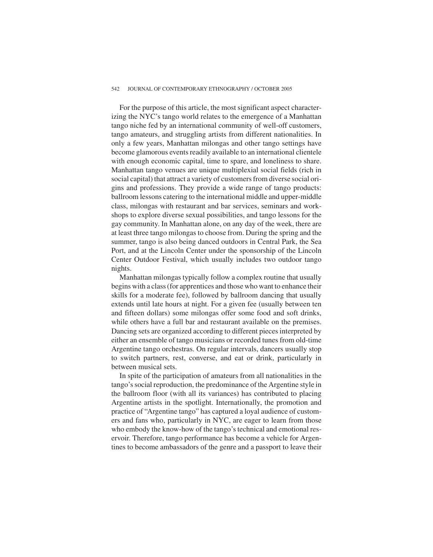#### 542 JOURNAL OF CONTEMPORARY ETHNOGRAPHY / OCTOBER 2005

For the purpose of this article, the most significant aspect characterizing the NYC's tango world relates to the emergence of a Manhattan tango niche fed by an international community of well-off customers, tango amateurs, and struggling artists from different nationalities. In only a few years, Manhattan milongas and other tango settings have become glamorous events readily available to an international clientele with enough economic capital, time to spare, and loneliness to share. Manhattan tango venues are unique multiplexial social fields (rich in social capital) that attract a variety of customers from diverse social origins and professions. They provide a wide range of tango products: ballroom lessons catering to the international middle and upper-middle class, milongas with restaurant and bar services, seminars and workshops to explore diverse sexual possibilities, and tango lessons for the gay community. In Manhattan alone, on any day of the week, there are at least three tango milongas to choose from. During the spring and the summer, tango is also being danced outdoors in Central Park, the Sea Port, and at the Lincoln Center under the sponsorship of the Lincoln Center Outdoor Festival, which usually includes two outdoor tango nights.

Manhattan milongas typically follow a complex routine that usually begins with a class (for apprentices and those who want to enhance their skills for a moderate fee), followed by ballroom dancing that usually extends until late hours at night. For a given fee (usually between ten and fifteen dollars) some milongas offer some food and soft drinks, while others have a full bar and restaurant available on the premises. Dancing sets are organized according to different pieces interpreted by either an ensemble of tango musicians or recorded tunes from old-time Argentine tango orchestras. On regular intervals, dancers usually stop to switch partners, rest, converse, and eat or drink, particularly in between musical sets.

In spite of the participation of amateurs from all nationalities in the tango's social reproduction, the predominance of the Argentine style in the ballroom floor (with all its variances) has contributed to placing Argentine artists in the spotlight. Internationally, the promotion and practice of "Argentine tango" has captured a loyal audience of customers and fans who, particularly in NYC, are eager to learn from those who embody the know-how of the tango's technical and emotional reservoir. Therefore, tango performance has become a vehicle for Argentines to become ambassadors of the genre and a passport to leave their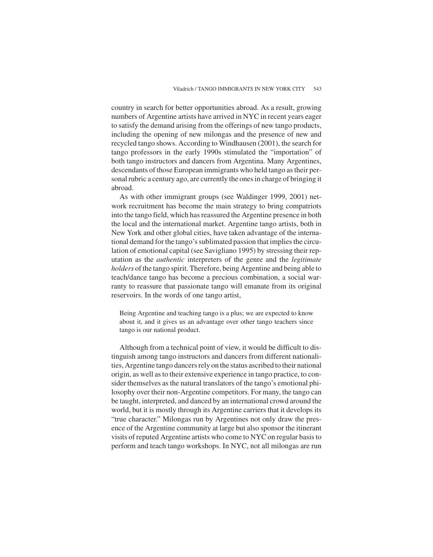country in search for better opportunities abroad. As a result, growing numbers of Argentine artists have arrived in NYC in recent years eager to satisfy the demand arising from the offerings of new tango products, including the opening of new milongas and the presence of new and recycled tango shows. According to Windhausen (2001), the search for tango professors in the early 1990s stimulated the "importation" of both tango instructors and dancers from Argentina. Many Argentines, descendants of those European immigrants who held tango as their personal rubric a century ago, are currently the ones in charge of bringing it abroad.

As with other immigrant groups (see Waldinger 1999, 2001) network recruitment has become the main strategy to bring compatriots into the tango field, which has reassured the Argentine presence in both the local and the international market. Argentine tango artists, both in New York and other global cities, have taken advantage of the international demand for the tango's sublimated passion that implies the circulation of emotional capital (see Savigliano 1995) by stressing their reputation as the *authentic* interpreters of the genre and the *legitimate holders* of the tango spirit. Therefore, being Argentine and being able to teach/dance tango has become a precious combination, a social warranty to reassure that passionate tango will emanate from its original reservoirs. In the words of one tango artist,

Being Argentine and teaching tango is a plus; we are expected to know about it, and it gives us an advantage over other tango teachers since tango is our national product.

Although from a technical point of view, it would be difficult to distinguish among tango instructors and dancers from different nationalities, Argentine tango dancers rely on the status ascribed to their national origin, as well as to their extensive experience in tango practice, to consider themselves as the natural translators of the tango's emotional philosophy over their non-Argentine competitors. For many, the tango can be taught, interpreted, and danced by an international crowd around the world, but it is mostly through its Argentine carriers that it develops its "true character." Milongas run by Argentines not only draw the presence of the Argentine community at large but also sponsor the itinerant visits of reputed Argentine artists who come to NYC on regular basis to perform and teach tango workshops. In NYC, not all milongas are run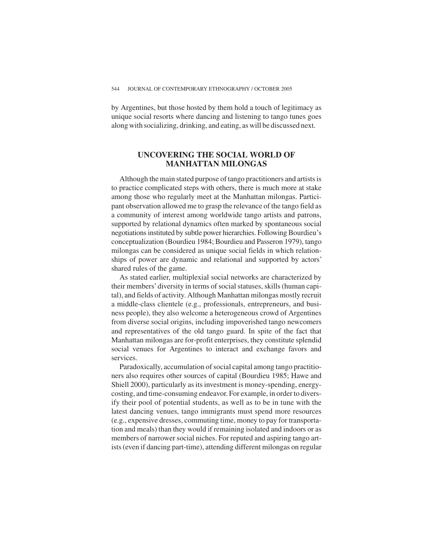by Argentines, but those hosted by them hold a touch of legitimacy as unique social resorts where dancing and listening to tango tunes goes along with socializing, drinking, and eating, as will be discussed next.

## **UNCOVERING THE SOCIAL WORLD OF MANHATTAN MILONGAS**

Although the main stated purpose of tango practitioners and artists is to practice complicated steps with others, there is much more at stake among those who regularly meet at the Manhattan milongas. Participant observation allowed me to grasp the relevance of the tango field as a community of interest among worldwide tango artists and patrons, supported by relational dynamics often marked by spontaneous social negotiations instituted by subtle power hierarchies. Following Bourdieu's conceptualization (Bourdieu 1984; Bourdieu and Passeron 1979), tango milongas can be considered as unique social fields in which relationships of power are dynamic and relational and supported by actors' shared rules of the game.

As stated earlier, multiplexial social networks are characterized by their members'diversity in terms of social statuses, skills (human capital), and fields of activity. Although Manhattan milongas mostly recruit a middle-class clientele (e.g., professionals, entrepreneurs, and business people), they also welcome a heterogeneous crowd of Argentines from diverse social origins, including impoverished tango newcomers and representatives of the old tango guard. In spite of the fact that Manhattan milongas are for-profit enterprises, they constitute splendid social venues for Argentines to interact and exchange favors and services.

Paradoxically, accumulation of social capital among tango practitioners also requires other sources of capital (Bourdieu 1985; Hawe and Shiell 2000), particularly as its investment is money-spending, energycosting, and time-consuming endeavor. For example, in order to diversify their pool of potential students, as well as to be in tune with the latest dancing venues, tango immigrants must spend more resources (e.g., expensive dresses, commuting time, money to pay for transportation and meals) than they would if remaining isolated and indoors or as members of narrower social niches. For reputed and aspiring tango artists (even if dancing part-time), attending different milongas on regular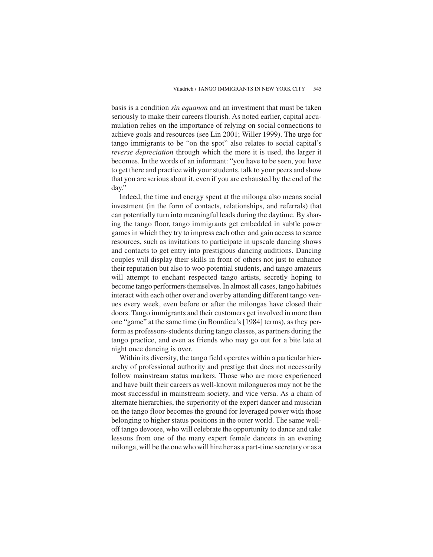basis is a condition *sin equanon* and an investment that must be taken seriously to make their careers flourish. As noted earlier, capital accumulation relies on the importance of relying on social connections to achieve goals and resources (see Lin 2001; Willer 1999). The urge for tango immigrants to be "on the spot" also relates to social capital's *reverse depreciation* through which the more it is used, the larger it becomes. In the words of an informant: "you have to be seen, you have to get there and practice with your students, talk to your peers and show that you are serious about it, even if you are exhausted by the end of the day."

Indeed, the time and energy spent at the milonga also means social investment (in the form of contacts, relationships, and referrals) that can potentially turn into meaningful leads during the daytime. By sharing the tango floor, tango immigrants get embedded in subtle power games in which they try to impress each other and gain access to scarce resources, such as invitations to participate in upscale dancing shows and contacts to get entry into prestigious dancing auditions. Dancing couples will display their skills in front of others not just to enhance their reputation but also to woo potential students, and tango amateurs will attempt to enchant respected tango artists, secretly hoping to become tango performers themselves. In almost all cases, tango habitués interact with each other over and over by attending different tango venues every week, even before or after the milongas have closed their doors. Tango immigrants and their customers get involved in more than one "game" at the same time (in Bourdieu's [1984] terms), as they perform as professors-students during tango classes, as partners during the tango practice, and even as friends who may go out for a bite late at night once dancing is over.

Within its diversity, the tango field operates within a particular hierarchy of professional authority and prestige that does not necessarily follow mainstream status markers. Those who are more experienced and have built their careers as well-known milongueros may not be the most successful in mainstream society, and vice versa. As a chain of alternate hierarchies, the superiority of the expert dancer and musician on the tango floor becomes the ground for leveraged power with those belonging to higher status positions in the outer world. The same welloff tango devotee, who will celebrate the opportunity to dance and take lessons from one of the many expert female dancers in an evening milonga, will be the one who will hire her as a part-time secretary or as a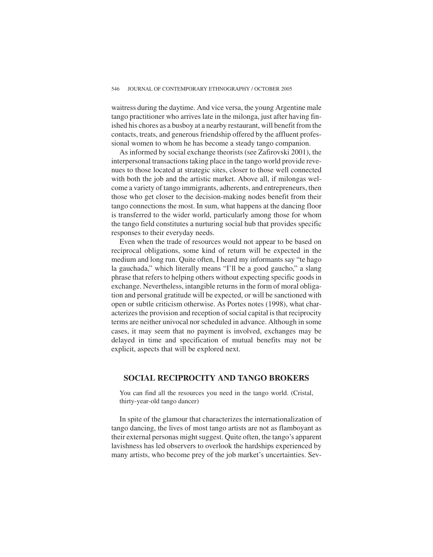waitress during the daytime. And vice versa, the young Argentine male tango practitioner who arrives late in the milonga, just after having finished his chores as a busboy at a nearby restaurant, will benefit from the contacts, treats, and generous friendship offered by the affluent professional women to whom he has become a steady tango companion.

As informed by social exchange theorists (see Zafirovski 2001), the interpersonal transactions taking place in the tango world provide revenues to those located at strategic sites, closer to those well connected with both the job and the artistic market. Above all, if milongas welcome a variety of tango immigrants, adherents, and entrepreneurs, then those who get closer to the decision-making nodes benefit from their tango connections the most. In sum, what happens at the dancing floor is transferred to the wider world, particularly among those for whom the tango field constitutes a nurturing social hub that provides specific responses to their everyday needs.

Even when the trade of resources would not appear to be based on reciprocal obligations, some kind of return will be expected in the medium and long run. Quite often, I heard my informants say "te hago la gauchada," which literally means "I'll be a good gaucho," a slang phrase that refers to helping others without expecting specific goods in exchange. Nevertheless, intangible returns in the form of moral obligation and personal gratitude will be expected, or will be sanctioned with open or subtle criticism otherwise. As Portes notes (1998), what characterizes the provision and reception of social capital is that reciprocity terms are neither univocal nor scheduled in advance. Although in some cases, it may seem that no payment is involved, exchanges may be delayed in time and specification of mutual benefits may not be explicit, aspects that will be explored next.

## **SOCIAL RECIPROCITY AND TANGO BROKERS**

You can find all the resources you need in the tango world. (Cristal, thirty-year-old tango dancer)

In spite of the glamour that characterizes the internationalization of tango dancing, the lives of most tango artists are not as flamboyant as their external personas might suggest. Quite often, the tango's apparent lavishness has led observers to overlook the hardships experienced by many artists, who become prey of the job market's uncertainties. Sev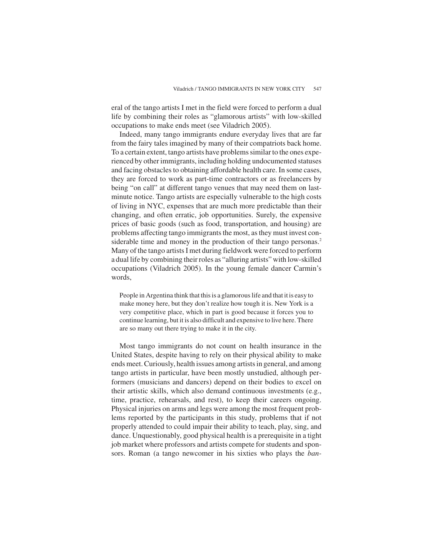eral of the tango artists I met in the field were forced to perform a dual life by combining their roles as "glamorous artists" with low-skilled occupations to make ends meet (see Viladrich 2005).

Indeed, many tango immigrants endure everyday lives that are far from the fairy tales imagined by many of their compatriots back home. To a certain extent, tango artists have problems similar to the ones experienced by other immigrants, including holding undocumented statuses and facing obstacles to obtaining affordable health care. In some cases, they are forced to work as part-time contractors or as freelancers by being "on call" at different tango venues that may need them on lastminute notice. Tango artists are especially vulnerable to the high costs of living in NYC, expenses that are much more predictable than their changing, and often erratic, job opportunities. Surely, the expensive prices of basic goods (such as food, transportation, and housing) are problems affecting tango immigrants the most, as they must invest considerable time and money in the production of their tango personas.<sup>2</sup> Many of the tango artists I met during fieldwork were forced to perform a dual life by combining their roles as "alluring artists" with low-skilled occupations (Viladrich 2005). In the young female dancer Carmin's words,

People in Argentina think that this is a glamorous life and that it is easy to make money here, but they don't realize how tough it is. New York is a very competitive place, which in part is good because it forces you to continue learning, but it is also difficult and expensive to live here. There are so many out there trying to make it in the city.

Most tango immigrants do not count on health insurance in the United States, despite having to rely on their physical ability to make ends meet. Curiously, health issues among artists in general, and among tango artists in particular, have been mostly unstudied, although performers (musicians and dancers) depend on their bodies to excel on their artistic skills, which also demand continuous investments (e.g., time, practice, rehearsals, and rest), to keep their careers ongoing. Physical injuries on arms and legs were among the most frequent problems reported by the participants in this study, problems that if not properly attended to could impair their ability to teach, play, sing, and dance. Unquestionably, good physical health is a prerequisite in a tight job market where professors and artists compete for students and sponsors. Roman (a tango newcomer in his sixties who plays the *ban-*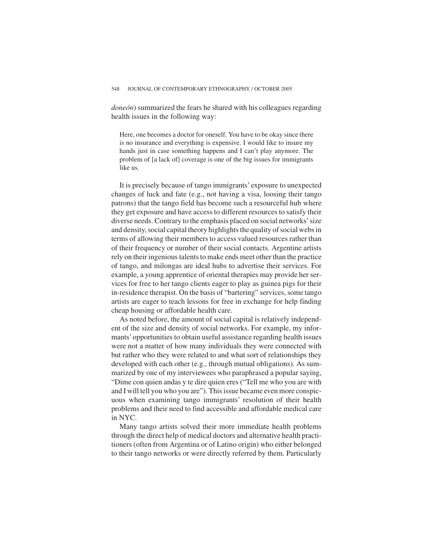*doneón*) summarized the fears he shared with his colleagues regarding health issues in the following way:

Here, one becomes a doctor for oneself. You have to be okay since there is no insurance and everything is expensive. I would like to insure my hands just in case something happens and I can't play anymore. The problem of [a lack of] coverage is one of the big issues for immigrants like us.

It is precisely because of tango immigrants' exposure to unexpected changes of luck and fate (e.g., not having a visa, loosing their tango patrons) that the tango field has become such a resourceful hub where they get exposure and have access to different resources to satisfy their diverse needs. Contrary to the emphasis placed on social networks'size and density, social capital theory highlights the quality of social webs in terms of allowing their members to access valued resources rather than of their frequency or number of their social contacts. Argentine artists rely on their ingenious talents to make ends meet other than the practice of tango, and milongas are ideal hubs to advertise their services. For example, a young apprentice of oriental therapies may provide her services for free to her tango clients eager to play as guinea pigs for their in-residence therapist. On the basis of "bartering" services, some tango artists are eager to teach lessons for free in exchange for help finding cheap housing or affordable health care.

As noted before, the amount of social capital is relatively independent of the size and density of social networks. For example, my informants'opportunities to obtain useful assistance regarding health issues were not a matter of how many individuals they were connected with but rather who they were related to and what sort of relationships they developed with each other (e.g., through mutual obligations). As summarized by one of my interviewees who paraphrased a popular saying, "Dime con quien andas y te dire quien eres ("Tell me who you are with and I will tell you who you are"). This issue became even more conspicuous when examining tango immigrants' resolution of their health problems and their need to find accessible and affordable medical care in NYC.

Many tango artists solved their more immediate health problems through the direct help of medical doctors and alternative health practitioners (often from Argentina or of Latino origin) who either belonged to their tango networks or were directly referred by them. Particularly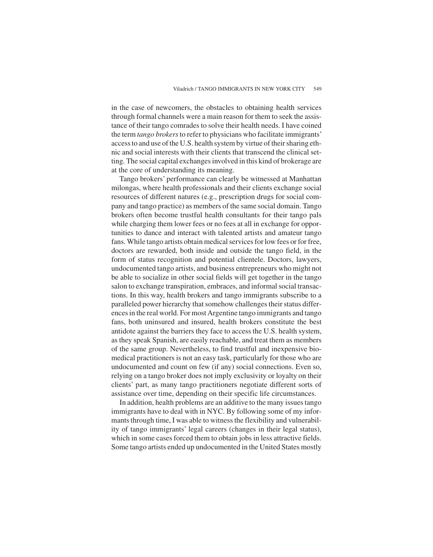in the case of newcomers, the obstacles to obtaining health services through formal channels were a main reason for them to seek the assistance of their tango comrades to solve their health needs. I have coined the term *tango brokers*to refer to physicians who facilitate immigrants' access to and use of the U.S. health system by virtue of their sharing ethnic and social interests with their clients that transcend the clinical setting. The social capital exchanges involved in this kind of brokerage are at the core of understanding its meaning.

Tango brokers' performance can clearly be witnessed at Manhattan milongas, where health professionals and their clients exchange social resources of different natures (e.g., prescription drugs for social company and tango practice) as members of the same social domain. Tango brokers often become trustful health consultants for their tango pals while charging them lower fees or no fees at all in exchange for opportunities to dance and interact with talented artists and amateur tango fans. While tango artists obtain medical services for low fees or for free, doctors are rewarded, both inside and outside the tango field, in the form of status recognition and potential clientele. Doctors, lawyers, undocumented tango artists, and business entrepreneurs who might not be able to socialize in other social fields will get together in the tango salon to exchange transpiration, embraces, and informal social transactions. In this way, health brokers and tango immigrants subscribe to a paralleled power hierarchy that somehow challenges their status differences in the real world. For most Argentine tango immigrants and tango fans, both uninsured and insured, health brokers constitute the best antidote against the barriers they face to access the U.S. health system, as they speak Spanish, are easily reachable, and treat them as members of the same group. Nevertheless, to find trustful and inexpensive biomedical practitioners is not an easy task, particularly for those who are undocumented and count on few (if any) social connections. Even so, relying on a tango broker does not imply exclusivity or loyalty on their clients' part, as many tango practitioners negotiate different sorts of assistance over time, depending on their specific life circumstances.

In addition, health problems are an additive to the many issues tango immigrants have to deal with in NYC. By following some of my informants through time, I was able to witness the flexibility and vulnerability of tango immigrants' legal careers (changes in their legal status), which in some cases forced them to obtain jobs in less attractive fields. Some tango artists ended up undocumented in the United States mostly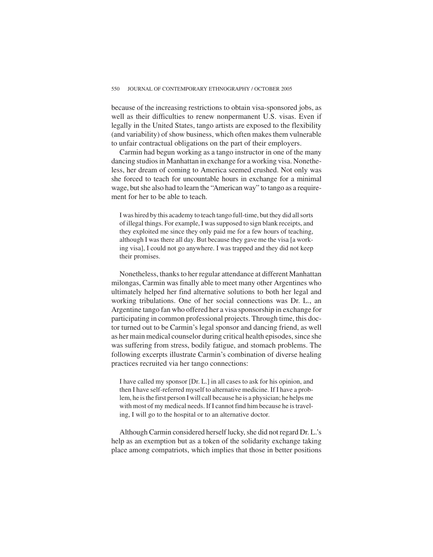because of the increasing restrictions to obtain visa-sponsored jobs, as well as their difficulties to renew nonpermanent U.S. visas. Even if legally in the United States, tango artists are exposed to the flexibility (and variability) of show business, which often makes them vulnerable to unfair contractual obligations on the part of their employers.

Carmin had begun working as a tango instructor in one of the many dancing studios in Manhattan in exchange for a working visa. Nonetheless, her dream of coming to America seemed crushed. Not only was she forced to teach for uncountable hours in exchange for a minimal wage, but she also had to learn the "American way" to tango as a requirement for her to be able to teach.

I was hired by this academy to teach tango full-time, but they did all sorts of illegal things. For example, I was supposed to sign blank receipts, and they exploited me since they only paid me for a few hours of teaching, although I was there all day. But because they gave me the visa [a working visa], I could not go anywhere. I was trapped and they did not keep their promises.

Nonetheless, thanks to her regular attendance at different Manhattan milongas, Carmin was finally able to meet many other Argentines who ultimately helped her find alternative solutions to both her legal and working tribulations. One of her social connections was Dr. L., an Argentine tango fan who offered her a visa sponsorship in exchange for participating in common professional projects. Through time, this doctor turned out to be Carmin's legal sponsor and dancing friend, as well as her main medical counselor during critical health episodes, since she was suffering from stress, bodily fatigue, and stomach problems. The following excerpts illustrate Carmin's combination of diverse healing practices recruited via her tango connections:

I have called my sponsor [Dr. L.] in all cases to ask for his opinion, and then I have self-referred myself to alternative medicine. If I have a problem, he is the first person I will call because he is a physician; he helps me with most of my medical needs. If I cannot find him because he is traveling, I will go to the hospital or to an alternative doctor.

Although Carmin considered herself lucky, she did not regard Dr. L.'s help as an exemption but as a token of the solidarity exchange taking place among compatriots, which implies that those in better positions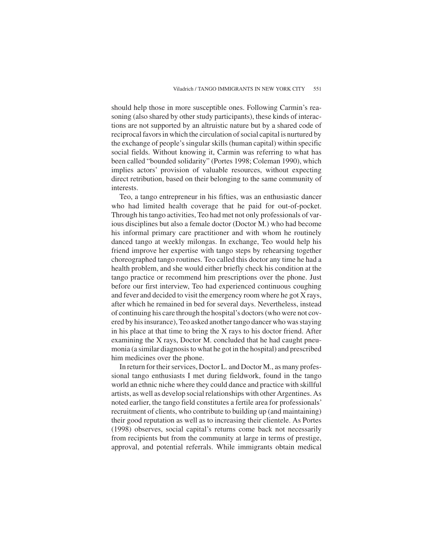should help those in more susceptible ones. Following Carmin's reasoning (also shared by other study participants), these kinds of interactions are not supported by an altruistic nature but by a shared code of reciprocal favors in which the circulation of social capital is nurtured by the exchange of people's singular skills (human capital) within specific social fields. Without knowing it, Carmin was referring to what has been called "bounded solidarity" (Portes 1998; Coleman 1990), which implies actors' provision of valuable resources, without expecting direct retribution, based on their belonging to the same community of interests.

Teo, a tango entrepreneur in his fifties, was an enthusiastic dancer who had limited health coverage that he paid for out-of-pocket. Through his tango activities, Teo had met not only professionals of various disciplines but also a female doctor (Doctor M.) who had become his informal primary care practitioner and with whom he routinely danced tango at weekly milongas. In exchange, Teo would help his friend improve her expertise with tango steps by rehearsing together choreographed tango routines. Teo called this doctor any time he had a health problem, and she would either briefly check his condition at the tango practice or recommend him prescriptions over the phone. Just before our first interview, Teo had experienced continuous coughing and fever and decided to visit the emergency room where he got X rays, after which he remained in bed for several days. Nevertheless, instead of continuing his care through the hospital's doctors (who were not covered by his insurance), Teo asked another tango dancer who was staying in his place at that time to bring the X rays to his doctor friend. After examining the X rays, Doctor M. concluded that he had caught pneumonia (a similar diagnosis to what he got in the hospital) and prescribed him medicines over the phone.

In return for their services, Doctor L. and Doctor M., as many professional tango enthusiasts I met during fieldwork, found in the tango world an ethnic niche where they could dance and practice with skillful artists, as well as develop social relationships with other Argentines. As noted earlier, the tango field constitutes a fertile area for professionals' recruitment of clients, who contribute to building up (and maintaining) their good reputation as well as to increasing their clientele. As Portes (1998) observes, social capital's returns come back not necessarily from recipients but from the community at large in terms of prestige, approval, and potential referrals. While immigrants obtain medical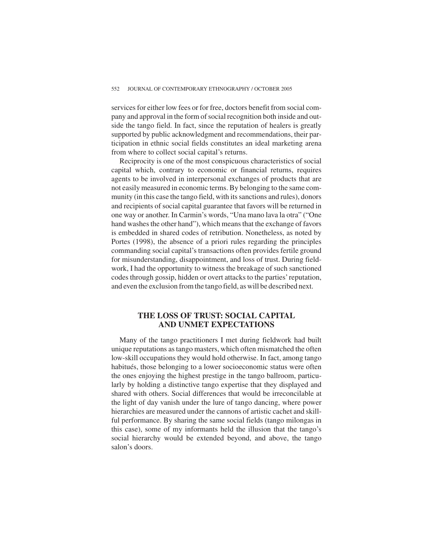services for either low fees or for free, doctors benefit from social company and approval in the form of social recognition both inside and outside the tango field. In fact, since the reputation of healers is greatly supported by public acknowledgment and recommendations, their participation in ethnic social fields constitutes an ideal marketing arena from where to collect social capital's returns.

Reciprocity is one of the most conspicuous characteristics of social capital which, contrary to economic or financial returns, requires agents to be involved in interpersonal exchanges of products that are not easily measured in economic terms. By belonging to the same community (in this case the tango field, with its sanctions and rules), donors and recipients of social capital guarantee that favors will be returned in one way or another. In Carmin's words, "Una mano lava la otra" ("One hand washes the other hand"), which means that the exchange of favors is embedded in shared codes of retribution. Nonetheless, as noted by Portes (1998), the absence of a priori rules regarding the principles commanding social capital's transactions often provides fertile ground for misunderstanding, disappointment, and loss of trust. During fieldwork, I had the opportunity to witness the breakage of such sanctioned codes through gossip, hidden or overt attacks to the parties'reputation, and even the exclusion from the tango field, as will be described next.

## **THE LOSS OF TRUST: SOCIAL CAPITAL AND UNMET EXPECTATIONS**

Many of the tango practitioners I met during fieldwork had built unique reputations as tango masters, which often mismatched the often low-skill occupations they would hold otherwise. In fact, among tango habitués, those belonging to a lower socioeconomic status were often the ones enjoying the highest prestige in the tango ballroom, particularly by holding a distinctive tango expertise that they displayed and shared with others. Social differences that would be irreconcilable at the light of day vanish under the lure of tango dancing, where power hierarchies are measured under the cannons of artistic cachet and skillful performance. By sharing the same social fields (tango milongas in this case), some of my informants held the illusion that the tango's social hierarchy would be extended beyond, and above, the tango salon's doors.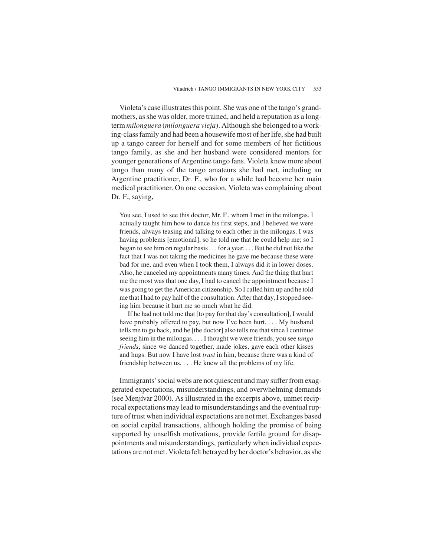Violeta's case illustrates this point. She was one of the tango's grandmothers, as she was older, more trained, and held a reputation as a longterm *milonguera* (*milonguera vieja*). Although she belonged to a working-class family and had been a housewife most of her life, she had built up a tango career for herself and for some members of her fictitious tango family, as she and her husband were considered mentors for younger generations of Argentine tango fans. Violeta knew more about tango than many of the tango amateurs she had met, including an Argentine practitioner, Dr. F., who for a while had become her main medical practitioner. On one occasion, Violeta was complaining about Dr. F., saying,

You see, I used to see this doctor, Mr. F., whom I met in the milongas. I actually taught him how to dance his first steps, and I believed we were friends, always teasing and talking to each other in the milongas. I was having problems [emotional], so he told me that he could help me; so I began to see him on regular basis. . . for a year. . . . But he did not like the fact that I was not taking the medicines he gave me because these were bad for me, and even when I took them, I always did it in lower doses. Also, he canceled my appointments many times. And the thing that hurt me the most was that one day, I had to cancel the appointment because I was going to get the American citizenship. So I called him up and he told me that I had to pay half of the consultation. After that day, I stopped seeing him because it hurt me so much what he did.

If he had not told me that [to pay for that day's consultation], I would have probably offered to pay, but now I've been hurt. . . . My husband tells me to go back, and he [the doctor] also tells me that since I continue seeing him in the milongas. ...I thought we were friends, you see *tango friends*, since we danced together, made jokes, gave each other kisses and hugs. But now I have lost *trust* in him, because there was a kind of friendship between us. . . . He knew all the problems of my life.

Immigrants'social webs are not quiescent and may suffer from exaggerated expectations, misunderstandings, and overwhelming demands (see Menjívar 2000). As illustrated in the excerpts above, unmet reciprocal expectations may lead to misunderstandings and the eventual rupture of trust when individual expectations are not met. Exchanges based on social capital transactions, although holding the promise of being supported by unselfish motivations, provide fertile ground for disappointments and misunderstandings, particularly when individual expectations are not met. Violeta felt betrayed by her doctor's behavior, as she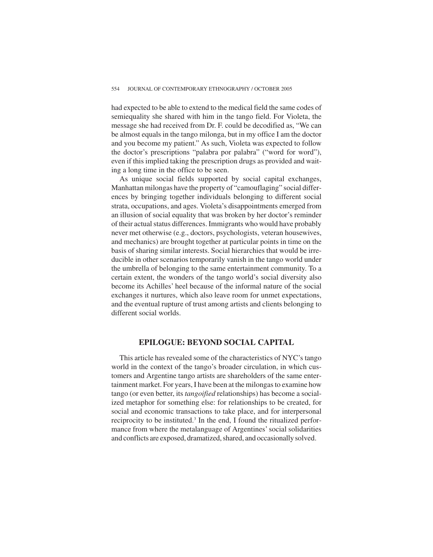had expected to be able to extend to the medical field the same codes of semiequality she shared with him in the tango field. For Violeta, the message she had received from Dr. F. could be decodified as, "We can be almost equals in the tango milonga, but in my office I am the doctor and you become my patient." As such, Violeta was expected to follow the doctor's prescriptions "palabra por palabra" ("word for word"), even if this implied taking the prescription drugs as provided and waiting a long time in the office to be seen.

As unique social fields supported by social capital exchanges, Manhattan milongas have the property of "camouflaging" social differences by bringing together individuals belonging to different social strata, occupations, and ages. Violeta's disappointments emerged from an illusion of social equality that was broken by her doctor's reminder of their actual status differences. Immigrants who would have probably never met otherwise (e.g., doctors, psychologists, veteran housewives, and mechanics) are brought together at particular points in time on the basis of sharing similar interests. Social hierarchies that would be irreducible in other scenarios temporarily vanish in the tango world under the umbrella of belonging to the same entertainment community. To a certain extent, the wonders of the tango world's social diversity also become its Achilles' heel because of the informal nature of the social exchanges it nurtures, which also leave room for unmet expectations, and the eventual rupture of trust among artists and clients belonging to different social worlds.

## **EPILOGUE: BEYOND SOCIAL CAPITAL**

This article has revealed some of the characteristics of NYC's tango world in the context of the tango's broader circulation, in which customers and Argentine tango artists are shareholders of the same entertainment market. For years, I have been at the milongas to examine how tango (or even better, its *tangoified* relationships) has become a socialized metaphor for something else: for relationships to be created, for social and economic transactions to take place, and for interpersonal reciprocity to be instituted.<sup>3</sup> In the end, I found the ritualized performance from where the metalanguage of Argentines' social solidarities and conflicts are exposed, dramatized, shared, and occasionally solved.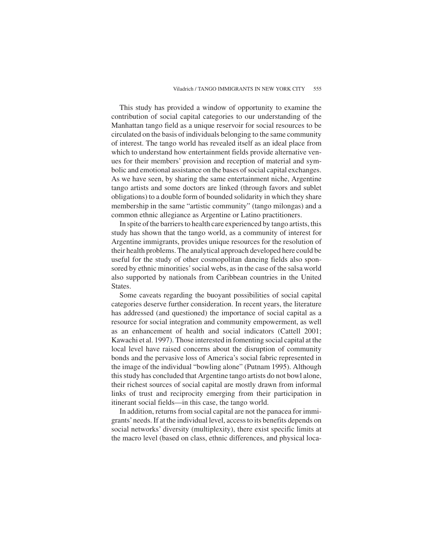This study has provided a window of opportunity to examine the contribution of social capital categories to our understanding of the Manhattan tango field as a unique reservoir for social resources to be circulated on the basis of individuals belonging to the same community of interest. The tango world has revealed itself as an ideal place from which to understand how entertainment fields provide alternative venues for their members' provision and reception of material and symbolic and emotional assistance on the bases of social capital exchanges. As we have seen, by sharing the same entertainment niche, Argentine tango artists and some doctors are linked (through favors and sublet obligations) to a double form of bounded solidarity in which they share membership in the same "artistic community" (tango milongas) and a common ethnic allegiance as Argentine or Latino practitioners.

In spite of the barriers to health care experienced by tango artists, this study has shown that the tango world, as a community of interest for Argentine immigrants, provides unique resources for the resolution of their health problems. The analytical approach developed here could be useful for the study of other cosmopolitan dancing fields also sponsored by ethnic minorities'social webs, as in the case of the salsa world also supported by nationals from Caribbean countries in the United States.

Some caveats regarding the buoyant possibilities of social capital categories deserve further consideration. In recent years, the literature has addressed (and questioned) the importance of social capital as a resource for social integration and community empowerment, as well as an enhancement of health and social indicators (Cattell 2001; Kawachi et al. 1997). Those interested in fomenting social capital at the local level have raised concerns about the disruption of community bonds and the pervasive loss of America's social fabric represented in the image of the individual "bowling alone" (Putnam 1995). Although this study has concluded that Argentine tango artists do not bowl alone, their richest sources of social capital are mostly drawn from informal links of trust and reciprocity emerging from their participation in itinerant social fields—in this case, the tango world.

In addition, returns from social capital are not the panacea for immigrants'needs. If at the individual level, access to its benefits depends on social networks' diversity (multiplexity), there exist specific limits at the macro level (based on class, ethnic differences, and physical loca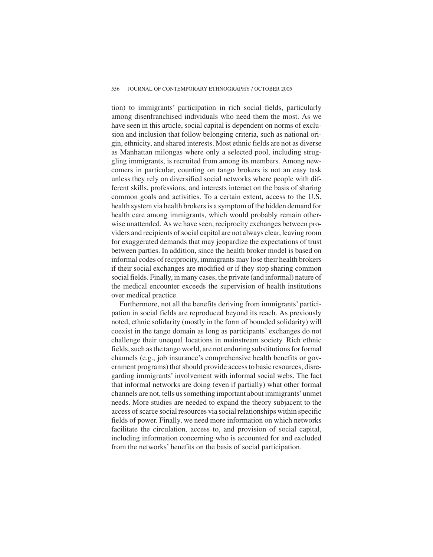tion) to immigrants' participation in rich social fields, particularly among disenfranchised individuals who need them the most. As we have seen in this article, social capital is dependent on norms of exclusion and inclusion that follow belonging criteria, such as national origin, ethnicity, and shared interests. Most ethnic fields are not as diverse as Manhattan milongas where only a selected pool, including struggling immigrants, is recruited from among its members. Among newcomers in particular, counting on tango brokers is not an easy task unless they rely on diversified social networks where people with different skills, professions, and interests interact on the basis of sharing common goals and activities. To a certain extent, access to the U.S. health system via health brokers is a symptom of the hidden demand for health care among immigrants, which would probably remain otherwise unattended. As we have seen, reciprocity exchanges between providers and recipients of social capital are not always clear, leaving room for exaggerated demands that may jeopardize the expectations of trust between parties. In addition, since the health broker model is based on informal codes of reciprocity, immigrants may lose their health brokers if their social exchanges are modified or if they stop sharing common social fields. Finally, in many cases, the private (and informal) nature of the medical encounter exceeds the supervision of health institutions over medical practice.

Furthermore, not all the benefits deriving from immigrants' participation in social fields are reproduced beyond its reach. As previously noted, ethnic solidarity (mostly in the form of bounded solidarity) will coexist in the tango domain as long as participants' exchanges do not challenge their unequal locations in mainstream society. Rich ethnic fields, such as the tango world, are not enduring substitutions for formal channels (e.g., job insurance's comprehensive health benefits or government programs) that should provide access to basic resources, disregarding immigrants' involvement with informal social webs. The fact that informal networks are doing (even if partially) what other formal channels are not, tells us something important about immigrants'unmet needs. More studies are needed to expand the theory subjacent to the access of scarce social resources via social relationships within specific fields of power. Finally, we need more information on which networks facilitate the circulation, access to, and provision of social capital, including information concerning who is accounted for and excluded from the networks' benefits on the basis of social participation.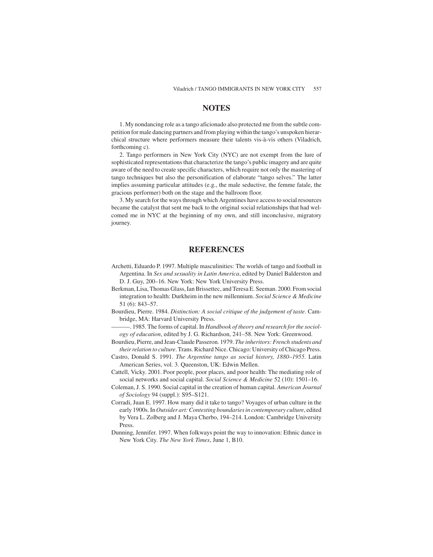## **NOTES**

1. My nondancing role as a tango aficionado also protected me from the subtle competition for male dancing partners and from playing within the tango's unspoken hierarchical structure where performers measure their talents vis-à-vis others (Viladrich, forthcoming c).

2. Tango performers in New York City (NYC) are not exempt from the lure of sophisticated representations that characterize the tango's public imagery and are quite aware of the need to create specific characters, which require not only the mastering of tango techniques but also the personification of elaborate "tango selves." The latter implies assuming particular attitudes (e.g., the male seductive, the femme fatale, the gracious performer) both on the stage and the ballroom floor.

3. My search for the ways through which Argentines have access to social resources became the catalyst that sent me back to the original social relationships that had welcomed me in NYC at the beginning of my own, and still inconclusive, migratory journey.

## **REFERENCES**

- Archetti, Eduardo P. 1997. Multiple masculinities: The worlds of tango and football in Argentina. In *Sex and sexuality in Latin America*, edited by Daniel Balderston and D. J. Guy, 200–16. New York: New York University Press.
- Berkman, Lisa, Thomas Glass, Ian Brissettec, and Teresa E. Seeman. 2000. From social integration to health: Durkheim in the new millennium. *Social Science & Medicine* 51 (6): 843–57.
- Bourdieu, Pierre. 1984. *Distinction: A social critique of the judgement of taste*. Cambridge, MA: Harvard University Press.
- $-$ . 1985. The forms of capital. In *Handbook of theory and research for the sociology of education*, edited by J. G. Richardson, 241–58. New York: Greenwood.
- Bourdieu, Pierre, and Jean-Claude Passeron. 1979. *The inheritors: French students and their relation to culture*. Trans. Richard Nice. Chicago: University of Chicago Press.
- Castro, Donald S. 1991. *The Argentine tango as social history, 1880–1955*. Latin American Series, vol. 3. Queenston, UK: Edwin Mellen.
- Cattell, Vicky. 2001. Poor people, poor places, and poor health: The mediating role of social networks and social capital. *Social Science & Medicine* 52 (10): 1501–16.
- Coleman, J. S. 1990. Social capital in the creation of human capital. *American Journal of Sociology* 94 (suppl.): S95–S121.
- Corradi, Juan E. 1997. How many did it take to tango? Voyages of urban culture in the early 1900s. In *Outsider art: Contesting boundaries in contemporary culture*, edited by Vera L. Zolberg and J. Maya Cherbo, 194–214. London: Cambridge University Press.
- Dunning, Jennifer. 1997. When folkways point the way to innovation: Ethnic dance in New York City. *The New York Times*, June 1, B10.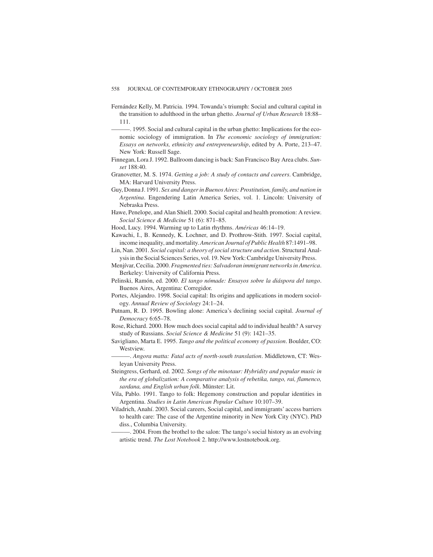Fernández Kelly, M. Patricia. 1994. Towanda's triumph: Social and cultural capital in the transition to adulthood in the urban ghetto. *Journal of Urban Research* 18:88– 111.

———. 1995. Social and cultural capital in the urban ghetto: Implications for the economic sociology of immigration. In *The economic sociology of immigration: Essays on networks, ethnicity and entrepreneurship*, edited by A. Porte, 213–47. New York: Russell Sage.

- Finnegan, Lora J. 1992. Ballroom dancing is back: San Francisco Bay Area clubs. *Sunset* 188:40.
- Granovetter, M. S. 1974. *Getting a job: A study of contacts and careers*. Cambridge, MA: Harvard University Press.
- Guy, Donna J. 1991. *Sex and danger in Buenos Aires: Prostitution, family, and nation in Argentina*. Engendering Latin America Series, vol. 1. Lincoln: University of Nebraska Press.
- Hawe, Penelope, and Alan Shiell. 2000. Social capital and health promotion: A review. *Social Science & Medicine* 51 (6): 871–85.
- Hood, Lucy. 1994. Warming up to Latin rhythms. *Américas* 46:14–19.
- Kawachi, I., B. Kennedy, K. Lochner, and D. Prothrow-Stith. 1997. Social capital, income inequality, and mortality.*American Journal of Public Health* 87:1491–98.
- Lin, Nan. 2001. *Social capital: a theory of social structure and action*. Structural Analysis in the Social Sciences Series, vol. 19. New York: Cambridge University Press.
- Menjívar, Cecilia. 2000. *Fragmented ties: Salvadoran immigrant networks in America*. Berkeley: University of California Press.
- Pelinski, Ramón, ed. 2000. *El tango nómade: Ensayos sobre la diáspora del tango*. Buenos Aires, Argentina: Corregidor.
- Portes, Alejandro. 1998. Social capital: Its origins and applications in modern sociology. *Annual Review of Sociology* 24:1–24.
- Putnam, R. D. 1995. Bowling alone: America's declining social capital. *Journal of Democracy* 6:65–78.
- Rose, Richard. 2000. How much does social capital add to individual health? A survey study of Russians. *Social Science & Medicine* 51 (9): 1421–35.
- Savigliano, Marta E. 1995. *Tango and the political economy of passion*. Boulder, CO: Westview.

———. *Angora matta: Fatal acts of north-south translation*. Middletown, CT: Wesleyan University Press.

- Steingress, Gerhard, ed. 2002. *Songs of the minotaur: Hybridity and popular music in the era of globalization: A comparative analysis of rebetika, tango, rai, flamenco, sardana, and English urban folk*. Münster: Lit.
- Vila, Pablo. 1991. Tango to folk: Hegemony construction and popular identities in Argentina. *Studies in Latin American Popular Culture* 10:107–39.
- Viladrich, Anahí. 2003. Social careers, Social capital, and immigrants' access barriers to health care: The case of the Argentine minority in New York City (NYC). PhD diss., Columbia University.

-. 2004. From the brothel to the salon: The tango's social history as an evolving artistic trend. *The Lost Notebook* 2. http://www.lostnotebook.org.